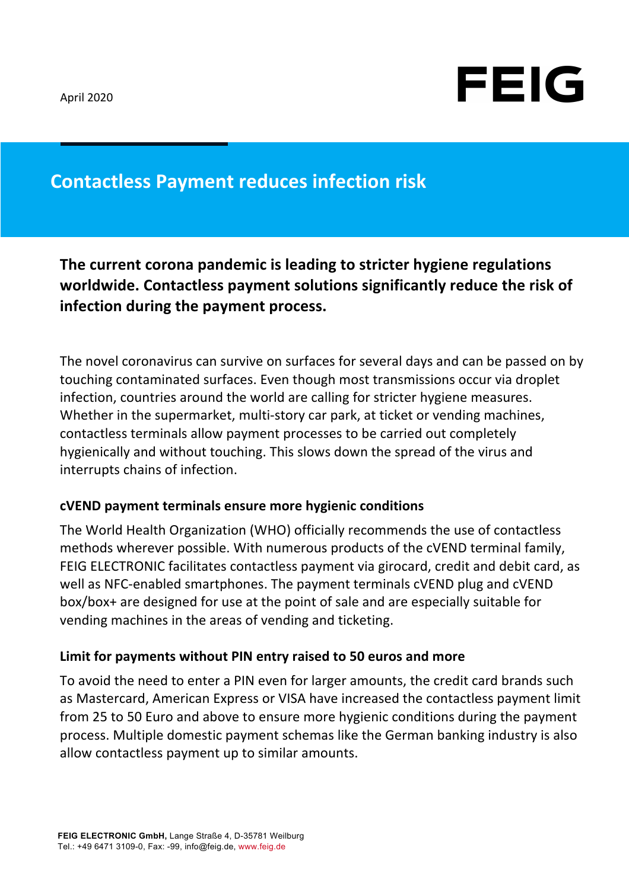

## **Contactless Payment reduces infection risk**

**The current corona pandemic is leading to stricter hygiene regulations** worldwide. Contactless payment solutions significantly reduce the risk of **infection during the payment process.** 

The novel coronavirus can survive on surfaces for several days and can be passed on by touching contaminated surfaces. Even though most transmissions occur via droplet infection, countries around the world are calling for stricter hygiene measures. Whether in the supermarket, multi-story car park, at ticket or vending machines, contactless terminals allow payment processes to be carried out completely hygienically and without touching. This slows down the spread of the virus and interrupts chains of infection.

## **cVEND payment terminals ensure more hygienic conditions**

The World Health Organization (WHO) officially recommends the use of contactless methods wherever possible. With numerous products of the cVEND terminal family, FEIG ELECTRONIC facilitates contactless payment via girocard, credit and debit card, as well as NFC-enabled smartphones. The payment terminals cVEND plug and cVEND box/box+ are designed for use at the point of sale and are especially suitable for vending machines in the areas of vending and ticketing.

## Limit for payments without PIN entry raised to 50 euros and more

To avoid the need to enter a PIN even for larger amounts, the credit card brands such as Mastercard, American Express or VISA have increased the contactless payment limit from 25 to 50 Euro and above to ensure more hygienic conditions during the payment process. Multiple domestic payment schemas like the German banking industry is also allow contactless payment up to similar amounts.